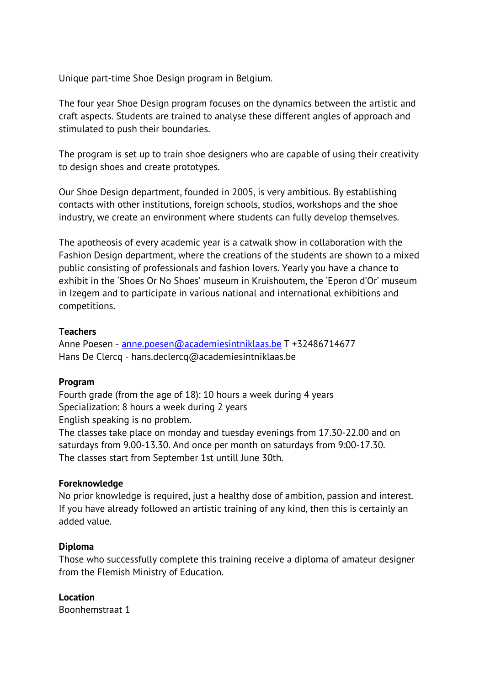Unique part-time Shoe Design program in Belgium.

The four year Shoe Design program focuses on the dynamics between the artistic and craft aspects. Students are trained to analyse these different angles of approach and stimulated to push their boundaries.

The program is set up to train shoe designers who are capable of using their creativity to design shoes and create prototypes.

Our Shoe Design department, founded in 2005, is very ambitious. By establishing contacts with other institutions, foreign schools, studios, workshops and the shoe industry, we create an environment where students can fully develop themselves.

The apotheosis of every academic year is a catwalk show in collaboration with the Fashion Design department, where the creations of the students are shown to a mixed public consisting of professionals and fashion lovers. Yearly you have a chance to exhibit in the 'Shoes Or No Shoes' museum in Kruishoutem, the 'Eperon d'Or' museum in Izegem and to participate in various national and international exhibitions and competitions.

# **Teachers**

Anne Poesen - anne.poesen@academiesintniklaas.be T +32486714677 Hans De Clercq - hans.declercq@academiesintniklaas.be

## **Program**

Fourth grade (from the age of 18): 10 hours a week during 4 years Specialization: 8 hours a week during 2 years English speaking is no problem.

The classes take place on monday and tuesday evenings from 17.30-22.00 and on saturdays from 9.00-13.30. And once per month on saturdays from 9:00-17.30. The classes start from September 1st untill June 30th.

## **Foreknowledge**

No prior knowledge is required, just a healthy dose of ambition, passion and interest. If you have already followed an artistic training of any kind, then this is certainly an added value.

## **Diploma**

Those who successfully complete this training receive a diploma of amateur designer from the Flemish Ministry of Education.

**Location** Boonhemstraat 1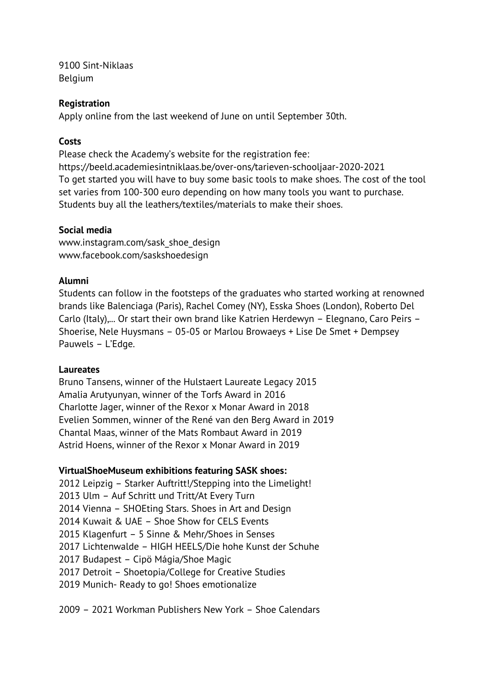9100 Sint-Niklaas Belgium

# **Registration**

Apply online from the last weekend of June on until September 30th.

# **Costs**

Please check the Academy's website for the registration fee: https://beeld.academiesintniklaas.be/over-ons/tarieven-schooljaar-2020-2021 To get started you will have to buy some basic tools to make shoes. The cost of the tool set varies from 100-300 euro depending on how many tools you want to purchase. Students buy all the leathers/textiles/materials to make their shoes.

## **Social media**

www.instagram.com/sask\_shoe\_design www.facebook.com/saskshoedesign

## **Alumni**

Students can follow in the footsteps of the graduates who started working at renowned brands like Balenciaga (Paris), Rachel Comey (NY), Esska Shoes (London), Roberto Del Carlo (Italy),... Or start their own brand like Katrien Herdewyn – Elegnano, Caro Peirs – Shoerise, Nele Huysmans – 05-05 or Marlou Browaeys + Lise De Smet + Dempsey Pauwels – L'Edge.

## **Laureates**

Bruno Tansens, winner of the Hulstaert Laureate Legacy 2015 Amalia Arutyunyan, winner of the Torfs Award in 2016 Charlotte Jager, winner of the Rexor x Monar Award in 2018 Evelien Sommen, winner of the René van den Berg Award in 2019 Chantal Maas, winner of the Mats Rombaut Award in 2019 Astrid Hoens, winner of the Rexor x Monar Award in 2019

## **VirtualShoeMuseum exhibitions featuring SASK shoes:**

2012 Leipzig – Starker Auftritt!/Stepping into the Limelight! 2013 Ulm – Auf Schritt und Tritt/At Every Turn 2014 Vienna – SHOEting Stars. Shoes in Art and Design 2014 Kuwait & UAE – Shoe Show for CELS Events 2015 Klagenfurt – 5 Sinne & Mehr/Shoes in Senses 2017 Lichtenwalde – HIGH HEELS/Die hohe Kunst der Schuhe 2017 Budapest – Cipö Mágia/Shoe Magic 2017 Detroit – Shoetopia/College for Creative Studies 2019 Munich- Ready to go! Shoes emotionalize

2009 – 2021 Workman Publishers New York – Shoe Calendars